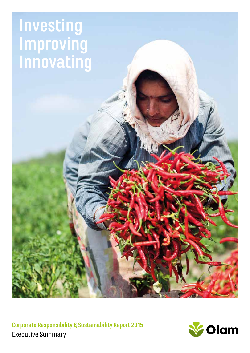# **Investing Improving Innovating**

**Corporate Responsibility & Sustainability Report 2015** Executive Summary

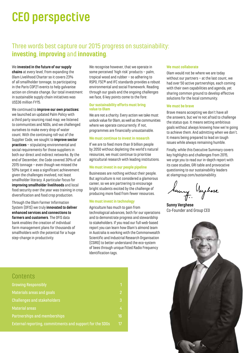# **CEO perspective**

# Three words best capture our 2015 progress on sustainability: **investing**, **improving** and **innovating**.

#### We **invested in the future of our supply**

**chains** at every level, from expanding the Olam Livelihood Charter so it covers 23% of all smallholder tonnage, to participating in the Paris COP21 events to help galvanise action on climate change. Our total investment in sustainable supply chain initiatives was US\$36 million FY15.

We continued to **improve our own practices:** we launched an updated Palm Policy with a third party sourcing road map; we listened to communities and NGOs, and we challenged ourselves to make every drop of water count. With the continuing roll-out of the Supplier Code, we sought to **improve sector practices** – stipulating environmental and social requirements for those suppliers in both our direct and indirect networks. By the end of December, the Code covered 30% of all 2015 tonnage – even though we missed the 50% target it was a significant achievement given the challenges involved, not least smallholder literacy. A particular focus for **improving smallholder livelihoods** and local food security over the year was training in crop diversification and food crop production.

Through the Olam Farmer Information System (OFIS) we truly **innovated to deliver enhanced services and connections to farmers and customers**. The OFIS data bank enables the creation of individual farm management plans for thousands of smallholders with the potential for a huge step-change in productivity.

We recognise however, that we operate in some perceived 'high risk' products – palm tropical wood and rubber – so adhering to RSPO, FSC® and IFC standards provides a robust environmental and social framework. Reading through our goals and the ongoing challenges we face, 6 key points come to the fore:

#### **Our sustainability efforts must bring value to Olam**

We are not a charity. Every action we take must unlock value for Olam, as well as the communities where we operate concurrently. If not, programmes are financially unsustainable.

#### **We must continue to invest in research**

If we are to feed more than 9 billion people by 2050 without depleting the world's natural resources, we must continue to prioritise agricultural research with leading institutions.

#### **We must invest in our people pipeline**

Businesses are nothing without their people. But agriculture is not considered a glamorous career, so we are partnering to encourage bright students excited by the challenge of producing more food from fewer resources.

#### **We must invest in technology**

Agriculture has much to gain from technological advances, both for our operations and to demonstrate progress and stewardship to stakeholders. If you read our full web-based report you can learn how Olam's almond team in Australia is working with the Commonwealth Scientific and Industrial Research Organisation (CSIRO) to better understand the eco-system of bees through unique fitted Radio Frequency Identification tags.

#### **We must collaborate**

Olam would not be where we are today without our partners – at the last count, we had over 50 active partnerships, each coming with their own capabilities and agenda, yet sharing common ground to develop effective solutions for the local community.

#### **We must be brave**

Brave means accepting we don't have all the answers, but we're not afraid to challenge the status quo. It means setting ambitious goals without always knowing how we're going to achieve them. And admitting when we don't. It means being prepared to lead on tough issues while always remaining humble.

Finally, while this Executive Summary covers key highlights and challenges from 2015, we urge you to read our in-depth report with its case studies, GRI table and provocative questioning to our sustainability leaders at olamgroup.com/sustainability.

Sany Neyhese

**Sunny Verghese**  Co-Founder and Group CEO



# **Contents**

| <b>Growing Responsibly</b>                               | 1.              |
|----------------------------------------------------------|-----------------|
| Materials areas and goals                                | $\overline{2}$  |
| <b>Challenges and stakeholders</b>                       | 3               |
| <b>Material areas</b>                                    | 4               |
| Partnerships and memberships                             | 16 <sup>°</sup> |
| External reporting, commitments and support for the SDGs | 17 <sup>2</sup> |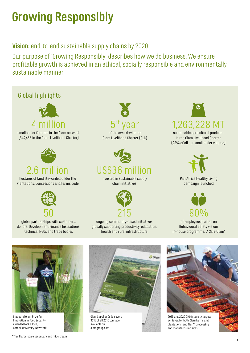# **Growing Responsibly**

# **Vision:** end-to-end sustainable supply chains by 2020.

Our purpose of 'Growing Responsibly' describes how we do business. We ensure profitable growth is achieved in an ethical, socially responsible and environmentally sustainable manner.



Innovation in Food Security awarded to SRI-Rice, Cornell University, New York.

\* Tier 1 large-scale secondary and mid-stream.

Olam Supplier Code covers 30% of all 2015 tonnage. Available on olamgroup.com

achieved for both Olam farms and plantations, and Tier 1\* processing and manufacturing sites.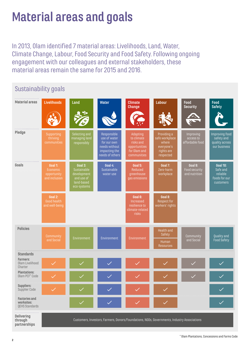# **Material areas and goals**

In 2013, Olam identified 7 material areas: Livelihoods, Land, Water, Climate Change, Labour, Food Security and Food Safety. Following ongoing engagement with our colleagues and external stakeholders, these material areas remain the same for 2015 and 2016.

# Sustainability goals

| .<br><b>Material areas</b>                                  | <b>Livelihoods</b>                                  | Land                                                                             | <b>Water</b>                                                                                    | <b>Climate</b><br><b>Change</b>                                                     | <b>Labour</b>                                                                   | Food<br><b>Security</b>                   | <b>Food</b><br><b>Safety</b>                                          |
|-------------------------------------------------------------|-----------------------------------------------------|----------------------------------------------------------------------------------|-------------------------------------------------------------------------------------------------|-------------------------------------------------------------------------------------|---------------------------------------------------------------------------------|-------------------------------------------|-----------------------------------------------------------------------|
|                                                             |                                                     |                                                                                  |                                                                                                 |                                                                                     |                                                                                 |                                           |                                                                       |
| Pledge                                                      | Supporting<br>thriving<br>communities               | Selecting and<br>managing land<br>responsibly                                    | Responsible<br>use of water<br>for our own<br>needs without<br>impacting the<br>needs of others | Adapting<br>to climate<br>risks and<br>opportunities<br>for Olam and<br>communities | Providing a<br>safe workplace<br>where<br>everyone's<br>rights are<br>respected | Improving<br>access to<br>affordable food | Improving food<br>safety and<br>quality across<br>our business        |
| Goals                                                       | Goal 1:<br>Economic<br>opportunity<br>and inclusion | Goal 3:<br>Sustainable<br>development<br>and use of<br>land-based<br>eco-systems | Goal $4:$<br>Sustainable<br>water use                                                           | <b>Goal 5:</b><br>Reduced<br>greenhouse<br>gas emissions                            | Goal $7:$<br>Zero-harm<br>workplace                                             | Goal 9:<br>Food security<br>and nutrition | <b>Goal 10:</b><br>Safe and<br>reliable<br>foods for our<br>customers |
|                                                             | Goal 2:<br><b>Good health</b><br>and well-being     |                                                                                  |                                                                                                 | Goal 6:<br>Increased<br>resilience to<br>climate-related<br>risks                   | Goal 8:<br>Respect for<br>workers' rights                                       |                                           |                                                                       |
| <b>Policies</b>                                             | Community<br>and Social                             | Environment                                                                      | Environment                                                                                     | Environment                                                                         | Health and<br>Safety<br>Human<br><b>Resources</b>                               | Community<br>and Social                   | <b>Quality and</b><br><b>Food Safety</b>                              |
| <b>Standards</b>                                            |                                                     |                                                                                  |                                                                                                 |                                                                                     |                                                                                 |                                           |                                                                       |
| <b>Farmers:</b><br>Olam Livelihood<br>Charter               |                                                     |                                                                                  |                                                                                                 |                                                                                     |                                                                                 |                                           |                                                                       |
| <b>Plantations:</b><br>Olam PCF <sup>*</sup> Code           |                                                     |                                                                                  | $\checkmark$                                                                                    |                                                                                     |                                                                                 |                                           | $\checkmark$                                                          |
| <b>Suppliers:</b><br>Supplier Code                          |                                                     |                                                                                  |                                                                                                 |                                                                                     |                                                                                 |                                           |                                                                       |
| <b>Factories and</b><br>worksites:<br><b>QEHS Standards</b> |                                                     | $\checkmark$                                                                     | $\checkmark$                                                                                    |                                                                                     |                                                                                 |                                           |                                                                       |
| <b>Delivering</b><br>through<br>partnerships                |                                                     |                                                                                  | Customers, Investors, Farmers, Donors/Foundations, NGOs, Governments, Industry Associations     |                                                                                     |                                                                                 |                                           |                                                                       |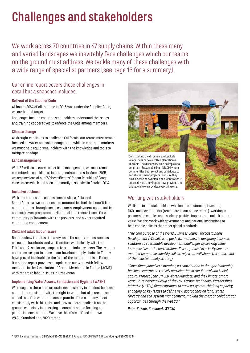# **Challenges and stakeholders**

We work across 70 countries in 47 supply chains. Within these many and varied landscapes we inevitably face challenges which our teams on the ground must address. We tackle many of these challenges with a wide range of specialist partners (see page 16 for a summary).

## Our online report covers these challenges in detail but a snapshot includes:

#### **Roll-out of the Supplier Code**

Although 30% of all tonnage in 2015 was under the Supplier Code, we are behind target.

Challenges include ensuring smallholders understand the issues and training cooperatives to enforce the Code among members.

#### **Climate change**

As drought continues to challenge California, our teams must remain focused on water and soil management, while in emerging markets we must help equip smallholders with the knowledge and tools to mitigate or adapt.

#### **Land management**

With 2.6 million hectares under Olam management, we must remain committed to upholding all international standards. In March 2015, we regained one of our FSC® certificates\* for our Republic of Congo concessions which had been temporarily suspended in October 2014.

#### **Inclusive business**

With plantations and concessions in Africa, Asia, and South America, we must ensure communities feel the benefit from our operations through social contracts, employment opportunities and outgrower programmes. Historical land tenure issues for a community in Tanzania with the previous land owner required continuing engagement.

#### **Child and adult labour issues**

Reports show that it is still a key issue for supply chains, such as cocoa and hazelnuts, and we therefore work closely with the Fair Labor Association, cooperatives and industry peers. The systems and processes put in place in our hazelnut supply chains in Turkey have proved invaluable in the face of the migrant crisis in Europe. Our online report provides an update on our work with fellow members in the Association of Cotton Merchants in Europe (ACME) with regard to labour issues in Uzbekistan.

#### **Implementing Water Access, Sanitation and Hygiene (WASH)**

We recognise there is a corporate responsibility to conduct business operations consistent with the right to water, but also recognised a need to define what it means in practice for a company to act consistently with this right, and how to operationalise it on the ground, especially in emerging economies or in a farming or plantation environment. We have therefore defined our own WASH Standard and 2020 target.



## Working with stakeholders

bricks, while we provided everything else.

We listen to our stakeholders who include customers, investors, NGOs and governments (read more in our online report). Working in partnership enables us to scale up positive impacts and unlock mutual value. We also work with governments and national institutions to help enable policies that meet global standards.

*"The core purpose of the World Business Council for Sustainable Development (WBCSD) is to guide its members in designing business solutions to sustainable development challenges by seeking value in (cross-) sectorial partnerships. Self-organised in priority clusters, member companies identify collectively what will shape the enactment of their sustainability strategy.* 

*"Since Olam joined as a member, its contribution in thought-leadership has been enormous. Actively participating in the Natural and Social Capital Protocol, the UN CEO Water Mandate, and the Climate-Smart Agriculture Working Group of the Low Carbon Technology Partnerships initiative (LCTPi), Olam continues to grow its system-thinking capacity, engaging on key issues to define new approaches on land, water, forestry and eco-system management, making the most of collaboration opportunities through the WBCSD."* 

*Peter Bakker, President, WBCSD*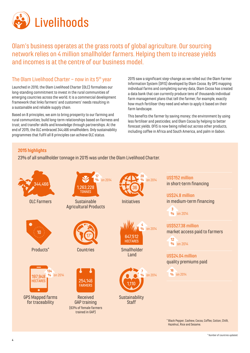

Olam's business operates at the grass roots of global agriculture. Our sourcing network relies on 4 million smallholder farmers. Helping them to increase yields and incomes is at the centre of our business model.

# The Olam Livelihood Charter – now in its  $5<sup>th</sup>$  year

Launched in 2010, the Olam Livelihood Charter (OLC) formalises our long-standing commitment to invest in the rural communities of emerging countries across the world. It is a commercial development framework that links farmers' and customers' needs resulting in a sustainable and reliable supply chain.

Based on 8 principles, we aim to bring prosperity to our farming and rural communities; build long-term relationships based on fairness and trust; and transfer skills and knowledge through partnerships. At the end of 2015, the OLC embraced 344,466 smallholders. Only sustainability programmes that fulfil all 8 principles can achieve OLC status.

2015 saw a significant step-change as we rolled out the Olam Farmer Information System (OFIS) developed by Olam Cocoa. By GPS mapping individual farms and completing survey data, Olam Cocoa has created a data bank that can currently produce tens of thousands individual farm management plans that tell the farmer, for example, exactly how much fertiliser they need and when to apply it based on their farm landscape.

This benefits the farmer by saving money; the environment by using less fertiliser and pesticides; and Olam Cocoa by helping to better forecast yields. OFIS is now being rolled out across other products, including coffee in Africa and South America, and palm in Gabon.

#### **2015 highlights**

23% of all smallholder tonnage in 2015 was under the Olam Livelihood Charter.

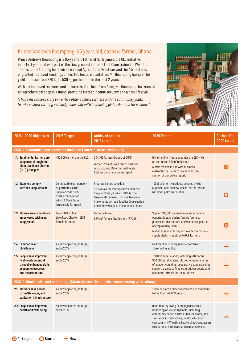# Prince Andrews Boampong, 65 years old, cashew farmer, Ghana

Prince Andrews Boampong is a 65-year-old father of 9. He joined the OLC initiative in its first year and was part of the first group of farmers that Olam trained in Wenchi. Thanks to the training he received on Good Agricultural Practices and the 4.5 hectares of grafted improved seedlings on his 14.5 hectare plantation, Mr. Boampong has seen his yield increase from 320 kg to 580 kg per hectare in the past 2 years.

With his improved revenues and an interest-free loan from Olam, Mr. Boampong has started an agrochemical shop in Asuano, providing further income security and a new lifestyle.

*"I hope my success story will entice other cashew farmers and the community youth to take cashew farming seriously; especially with increasing global demand for cashew*.*"*



| 2016 - 2020 Objectives                                                                                                     | 2015 Target                                                                                                                                | <b>Achieved against</b><br>2015 target                                                                                                                                                                                                        | 2020 Target                                                                                                                                                                                                                                                                              | <b>Outlook for</b><br>2020 target |  |  |  |
|----------------------------------------------------------------------------------------------------------------------------|--------------------------------------------------------------------------------------------------------------------------------------------|-----------------------------------------------------------------------------------------------------------------------------------------------------------------------------------------------------------------------------------------------|------------------------------------------------------------------------------------------------------------------------------------------------------------------------------------------------------------------------------------------------------------------------------------------|-----------------------------------|--|--|--|
|                                                                                                                            | <b>GOAL 1. Economic opportunity and inclusion (Material area: Livelihoods)</b>                                                             |                                                                                                                                                                                                                                               |                                                                                                                                                                                                                                                                                          |                                   |  |  |  |
| 1.1. Smallholder farmers are<br>supported through the<br><b>Olam Livelihood Charter</b><br>(OLC) principles                | 450,000 farmers in the OLC.                                                                                                                | 344,466 farmers by end of 2015.<br>Target 77% achieved due to business<br>restructuring. Refer to Livelihoods<br>02A section of our online report.                                                                                            | Bring 1 million hectares under the OLC with<br>an estimated 500,000 farmers.<br>Metric revised in line with business<br>restructuring. Refer to Livelihoods Q&A<br>section of our online report.                                                                                         |                                   |  |  |  |
| 1.2. Suppliers comply<br>with the Supplier Code                                                                            | Connected to our network<br>of partners via the<br>Supplier Code: 50%<br>overall tonnage (of<br>which 60% is from<br>large-scale farmers). | Progress behind schedule.<br>30% of overall tonnage now under the<br>Supplier Code (of which 60% is from<br>large-scale farmers). For challenges in<br>implementation see Supplier Code section<br>under 'How We Do It' of our online report. | 100% of priority products covered by the<br>Supplier Code: cashew, cocoa, coffee, cotton,<br>hazelnut, palm and rubber.                                                                                                                                                                  |                                   |  |  |  |
| 1.3. Women are economically<br>empowered within our<br>supply chain                                                        | Train 50% of Olam<br>Livelihood Charter (OLC)<br>female farmers.                                                                           | Target achieved.<br>63% of female OLC farmers (67,708).                                                                                                                                                                                       | Support 100,000 women to access economic<br>opportunities, including female farmers,<br>processors, distributors, and workers supported<br>or employed by Olam.<br>Metric expanded to support women across our<br>supply chain, in addition to OLC farmers.                              |                                   |  |  |  |
| 1.4. Elimination of<br>child labour                                                                                        | As new objective, no target<br>set in 2015.                                                                                                |                                                                                                                                                                                                                                               | No breaches in compliance reported or<br>observed in audits.                                                                                                                                                                                                                             |                                   |  |  |  |
| 1.5. People have improved<br>livelihoods potential<br>through enhanced skills,<br>economic resources<br>and infrastructure | As new objective, no target<br>set in 2015.                                                                                                |                                                                                                                                                                                                                                               | 750,000 beneficiaries, including estimated<br>500,000 smallholders, plus other beneficiaries<br>of capacity-building, cooperative support, school<br>support, access to finance, producer goods, and<br>economic infrastructure initiatives.                                             |                                   |  |  |  |
|                                                                                                                            |                                                                                                                                            | GOAL 2. Good health and well-being (Material area: Livelihoods - some overlap with Labour)                                                                                                                                                    |                                                                                                                                                                                                                                                                                          |                                   |  |  |  |
| 2.1. Workers have access<br>to health, water, and<br>sanitation infrastructure                                             | As new objective, no target<br>set in 2015.                                                                                                |                                                                                                                                                                                                                                               | 100% of Olam's direct operations are compliant<br>to the Olam WASH Standard.                                                                                                                                                                                                             |                                   |  |  |  |
| 2.2. People have improved<br>health and well-being                                                                         | As new objective, no target<br>set in 2015.                                                                                                |                                                                                                                                                                                                                                               | Olam Healthy Living Campaign positively<br>impacting on 250,000 people, including<br>community beneficiaries of health, water, and<br>sanitation infrastructure, health education<br>campaigns, HIV testing, health check-ups, access<br>to insurance initiatives, and similar services. |                                   |  |  |  |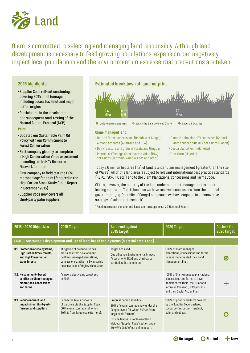

Olam is committed to selecting and managing land responsibly. Although land development is necessary to feed growing populations, expansion can negatively impact local populations and the environment unless essential precautions are taken.

#### **2015 highlights**

- Supplier Code roll-out continuing, covering 30% of all tonnage, including cocoa, hazelnut and major coffee origins
- Participated in the development and subsequent road-testing of the Natural Capital Protocol (NCP)

#### **Palm**

- Updated our Sustainable Palm Oil Policy with our Commitment to Forest Conservation
- First company globally to complete a High Conservation Value assessment according to the HCV Resource Network for palm
- First company to field test the HCS+ methodology for palm (featured in the High Carbon Stock Study Group Report in December 2015)
- Supplier Code now covers all third-party palm suppliers

#### **Estimated breakdown of land footprint**



#### **Olam-managed land**

- Natural forest concessions (Republic of Congo)
- Almond orchards (Australia and USA)
- Dairy (pasture and grain in Russia and Uruguay)
- Planted coffee High Conservation Value (HCV) set asides (Tanzania, Zambia, Laos and Brazil)
- Planted palm plus HCV set asides (Gabon)
- Planted rubber plus HCV set asides (Gabon)
- Cocoa plantation (Indonesia)
- Rice farm (Nigeria)

Today 2.6 million hectares (ha) of land is under Olam management (greater than the size of Wales). All of this land area is subject to relevant international best practice standards (RSPO, FSC®, IFC etc.) and to the Olam Plantations, Concessions and Farms Code.

Of this, however, the majority of the land under our direct management is under leasing contracts. This is because we have received concessions from the national government (e.g. Republic of Congo) or because we have engaged in an innovative strategy of sale-and-leaseback\*.

\* Read more about our sale-and-leaseback strategy in our 2015 Annual Report.

| 2016 - 2020 Objectives                                                                                                | 2015 Target                                                                                                                                                            | <b>Achieved against</b><br>2015 target                                                                                                                                                                                                                   | 2020 Target                                                                                                                                                                 | Outlook for<br>2020 target |
|-----------------------------------------------------------------------------------------------------------------------|------------------------------------------------------------------------------------------------------------------------------------------------------------------------|----------------------------------------------------------------------------------------------------------------------------------------------------------------------------------------------------------------------------------------------------------|-----------------------------------------------------------------------------------------------------------------------------------------------------------------------------|----------------------------|
|                                                                                                                       | GOAL 3. Sustainable development and use of land-based eco-systems (Material area: Land)                                                                                |                                                                                                                                                                                                                                                          |                                                                                                                                                                             |                            |
| 3.1. Protection of eco-systems,<br><b>High Carbon Stock forests,</b><br>and High Conservation<br><b>Value forests</b> | Mitigation of greenhouse gas<br>emissions from development<br>on Olam-managed plantations,<br>concessions and farms by ensuring<br>no conversion of High Carbon Stock. | Target achieved.<br>Due diligence, Environmental Impact<br>Assessments (EIA) and third-party<br>verified audits completed.                                                                                                                               | 100% of Olam-managed<br>plantations, concessions and farms<br>to have implemented their Land<br>Management Plan.                                                            | О                          |
| 3.2. No community based<br>conflict on Olam-managed<br>plantations, concessions<br>and farms                          | As new objective, no target set<br>in 2015.                                                                                                                            |                                                                                                                                                                                                                                                          | 100% of Olam-managed plantations,<br>concessions and farms to have<br>implemented their Free, Prior and<br>Informed Consent (FPIC) process<br>and their Social Action Plan. |                            |
| 3.3. Reduce indirect land<br>impacts from third-party<br>farmers and suppliers                                        | Connected to our network<br>of partners via the Supplier Code:<br>50% overall tonnage (of which<br>60% is from large-scale farmers).                                   | Progress behind schedule.<br>30% of overall tonnage now under the<br>Supplier Code (of which 60% is from<br>large-scale farmers).<br>For challenges in implementation<br>visit our 'Supplier Code' section under<br>'How We Do It' of our online report. | 100% of priority products covered<br>by the Supplier Code: cashew,<br>cocoa, coffee, cotton, hazelnut,<br>palm and rubber.                                                  |                            |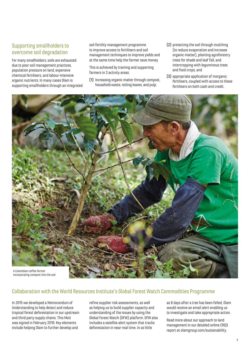## Supporting smallholders to overcome soil degradation

For many smallholders, soils are exhausted due to poor soil management practices, population pressure on land, expensive chemical fertilisers, and labour-intensive organic nutrients. In many cases Olam is supporting smallholders through an integrated soil fertility management programme to improve access to fertilisers and soil management techniques to improve yields and at the same time help the farmer save money.

This is achieved by training and supporting farmers in 3 activity areas:

- (1) Increasing organic matter through compost, household waste, rotting leaves, and pulp;
- (2) protecting the soil through mulching (to reduce evaporation and increase organic matter), planting agroforestry trees for shade and leaf fall, and intercropping with leguminous trees and food crops, and
- (3) appropriate application of inorganic fertilisers, coupled with access to these fertilisers on both cash and credit.



### Collaboration with the World Resources Institute's Global Forest Watch Commodities Programme

In 2015 we developed a Memorandum of Understanding to help detect and reduce tropical forest deforestation in our upstream and third party supply chains. This MoU was signed in February 2016. Key elements include helping Olam to further develop and

refine supplier risk assessments, as well as helping us to build supplier capacity and understanding of the issues by using the Global Forest Watch (GFW) platform. GFW also includes a satellite alert system that tracks deforestation in near-real time. In as little

as 8 days after a tree has been felled, Olam would receive an email alert enabling us to investigate and take appropriate action.

Read more about our approach to land management in our detailed online CR&S report at olamgroup.com/sustainability.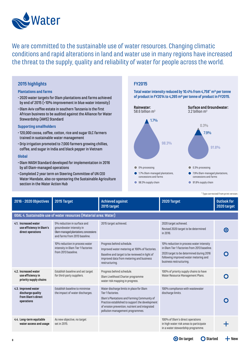

We are committed to the sustainable use of water resources. Changing climatic conditions and rapid alterations in land and water use in many regions have increased the threat to the supply, quality and reliability of water for people across the world.

#### **2015 highlights**

#### **Plantations and farms**

- 2020 water targets for Olam plantations and farms achieved by end of 2015 (>10% improvement in blue water intensity)
- Olam Aviv coffee estate in southern Tanzania is the first African business to be audited against the Alliance for Water Stewardship (AWS) Standard

#### **Supporting smallholders**

- •120,000 cocoa, coffee, cotton, rice and sugar OLC farmers trained in sustainable water management
- Drip irrigation promoted to 7,000 farmers growing chillies, coffee, and sugar in India and black pepper in Vietnam

#### **Global**

- Olam WASH Standard developed for implementation in 2016 by all Olam-managed operations
- Completed 2 year term on Steering Committee of UN CEO Water Mandate, also co-sponsoring the Sustainable Agriculture section in the Water Action Hub

#### **FY2015**

Total water intensity reduced by 10.4% from 4,758<sup>\*</sup> m<sup>3</sup> per tonne **of product in FY2014 to 4,265 m³ per tonne of product in FY2015.** 



\* Typo corrected from print version.

| 2016 - 2020 Objectives                                                       | 2015 Target                                                                                                                       | <b>Achieved against</b><br>2015 target                                                                                                                                                                                                                | 2020 Target                                                                                                                                                                                              | <b>Outlook for</b><br>2020 target |
|------------------------------------------------------------------------------|-----------------------------------------------------------------------------------------------------------------------------------|-------------------------------------------------------------------------------------------------------------------------------------------------------------------------------------------------------------------------------------------------------|----------------------------------------------------------------------------------------------------------------------------------------------------------------------------------------------------------|-----------------------------------|
|                                                                              | GOAL 4. Sustainable use of water resources (Material area: Water)                                                                 |                                                                                                                                                                                                                                                       |                                                                                                                                                                                                          |                                   |
| 4.1. Increased water<br>use efficiency in Olam's<br>direct operations        | 5% reduction in surface and<br>groundwater intensity in<br>Olam-managed plantations, concessions<br>and farms from 2013 baseline. | 2015 target achieved.                                                                                                                                                                                                                                 | 2020 target achieved.<br>Revised 2020 target to be determined<br>in 2016.                                                                                                                                |                                   |
|                                                                              | 10% reduction in process water<br>intensity in Olam Tier 1 factories<br>from 2013 baseline.                                       | Progress behind schedule.<br>Improved water metering at 100% of factories.<br>Baseline and target to be reviewed in light of<br>improved data from metering and business<br>restructuring.                                                            | 10% reduction in process water intensity<br>in Olam Tier 1 factories from 2013 baseline.<br>2020 target to be determined during 2016<br>following improved water metering and<br>business restructuring. |                                   |
| 4.2. Increased water<br>use efficiency in<br>priority supply chains          | Establish baseline and set target<br>for third-party suppliers.                                                                   | Progress behind schedule.<br>Olam Livelihood Charter programme<br>water risk mapping in progress.                                                                                                                                                     | 100% of priority supply chains to have<br>Water Resource Management Plans.                                                                                                                               |                                   |
| 4.3. Improved water<br>discharge quality<br>from Olam's direct<br>operations | Establish baseline to minimise<br>the impact of water discharges.                                                                 | Water discharge limits in place for Olam<br>Tier 1 factories.<br>Olam's Plantations and Farming Community of<br>Practice established to support the development<br>of erosion prevention, nutrient and integrated<br>pollution management programmes. | 100% compliance with wastewater<br>discharge limits.                                                                                                                                                     |                                   |
| 4.4. Long-term equitable<br>water access and usage                           | As new objective, no target<br>set in 2015.                                                                                       |                                                                                                                                                                                                                                                       | 100% of Olam's direct operations<br>in high water risk areas to participate<br>in a water stewardship programme.                                                                                         |                                   |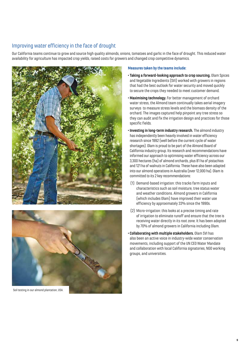## Improving water efficiency in the face of drought

Our California teams continue to grow and source high quality almonds, onions, tomatoes and garlic in the face of drought. This reduced water availability for agriculture has impacted crop yields, raised costs for growers and changed crop competitive dynamics.





Soil testing in our almond plantation, USA.

#### **Measures taken by the teams include:**

- **• Taking a forward-looking approach to crop sourcing.** Olam Spices and Vegetable Ingredients (SVI) worked with growers in regions that had the best outlook for water security and moved quickly to secure the crops they needed to meet customer demand.
- **•Maximising technology.** For better management of orchard water stress, the Almond team continually takes aerial imagery surveys to measure stress levels and the biomass density of the orchard. The images captured help pinpoint any tree stress so they can audit and fix the irrigation design and practices for those specific fields.
- **• Investing in long-term industry research.** The almond industry has independently been heavily involved in water efficiency research since 1992 (well before the current cycle of water shortages). Olam is proud to be part of the Almond Board of California industry group. Its research and recommendations have informed our approach to optimising water efficiency across our 3,300 hectares (ha) of almond orchards, plus 81 ha of pistachios and 121 ha of walnuts in California. These have also been adapted into our almond operations in Australia (over 12,000 ha). Olam is committed to its 2 key recommendations:
- (1) Demand-based irrigation: this tracks farm inputs and characteristics such as soil moisture, tree status water and weather conditions. Almond growers in California (which includes Olam) have improved their water use efficiency by approximately 33% since the 1990s.
- (2) Micro-irrigation: this looks at a precise timing and rate of irrigation to eliminate runoff and ensure that the tree is receiving water directly in its root zone. It has been adopted by 70% of almond growers in California including Olam.
- **• Collaborating with multiple stakeholders.** Olam SVI has also been an active voice in industry-wide water conservation movements, including support of the UN CEO Water Mandate and collaboration with local California signatories, NGO working groups, and universities.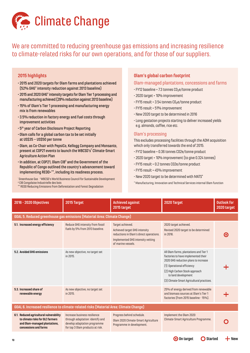

We are committed to reducing greenhouse gas emissions and increasing resilience to climate-related risks for our own operations, and for those of our suppliers.

#### **2015 highlights**

- 2015 and 2020 targets for Olam farms and plantations achieved (52% GHG\* intensity reduction against 2013 baseline)
- 2015 and 2020 GHG\* intensity targets for Olam Tier 1 processing and manufacturing achieved (28% reduction against 2013 baseline)
- •15% of Olam's Tier 1 processing and manufacturing energy mix is from renewables
- 3.5% reduction in factory energy and fuel costs through improvement activities
- 5th year of Carbon Disclosure Project Reporting
- Olam calls for a global carbon tax to be set initially at US\$35 – US\$50 per tonne
- Olam, as Co-Chair with PepsiCo, Kellogg Company and Monsanto, present at COP21 events to launch the WBCSD's† Climate-Smart Agriculture Action Plan
- $\cdot$  In addition, at COP21, Olam CIB $^{\vartriangle}$  and the Government of the Republic of Congo outlined the country's advancement toward implementing REDD+\*\*, including its readiness process.

\* Greenhouse Gas † WBCSD's World Business Council for Sustainable Development Δ CIB Congolaise Industrielle des bois

#### \*\* REDD Reducing Emissions from Deforestation and Forest Degradation

#### **Olam's global carbon footprint**

#### Olam-managed plantations, concessions and farms

- $\cdot$  FY12 baseline = 7.3 tonnes  $CO<sub>2</sub>e/$ tonne product
- 2020 target = 10% improvement
- $\cdot$  FY15 result = 3.54 tonnes  $CO<sub>2</sub>e/tonne product$
- FY15 result = 51% improvement
- New 2020 target to be determined in 2016
- Long gestation projects starting to deliver increased yields e.g. almonds, coffee, rice etc.

#### Olam's processing

This excludes processing facilities through the ADM acquisition which only transferred towards the end of 2015.

- FY12 baseline = 0.36 tonnes CO2e/tonne product
- 2020 target = 10% improvement (to give 0.324 tonnes)
- FY15 result = 0.2 tonnes CO2e/tonne product
- FY15 result = 45% improvement
- New 2020 target to be determined with MATS\*
- \* Manufacturing, Innovation and Technical Services internal Olam function

| 2016 - 2020 Objectives                                                                                                                | 2015 Target                                                                                                                          | <b>Achieved against</b><br>2015 target                                                                                                                  | 2020 Target                                                                                                                                                                                                                                               | <b>Outlook for</b><br>2020 target |  |  |  |  |
|---------------------------------------------------------------------------------------------------------------------------------------|--------------------------------------------------------------------------------------------------------------------------------------|---------------------------------------------------------------------------------------------------------------------------------------------------------|-----------------------------------------------------------------------------------------------------------------------------------------------------------------------------------------------------------------------------------------------------------|-----------------------------------|--|--|--|--|
| GOAL 5. Reduced greenhouse gas emissions (Material Area: Climate Change)                                                              |                                                                                                                                      |                                                                                                                                                         |                                                                                                                                                                                                                                                           |                                   |  |  |  |  |
| 5.1. Increased energy efficiency                                                                                                      | Reduce GHG intensity from fossil<br>fuels by 5% from 2013 baseline.                                                                  | Target achieved.<br>Achieved target GHG intensity<br>reductions in Olam's direct operations.<br>Implemented GHG intensity vetting<br>of marine vessels. | 2020 target achieved.<br>Revised 2020 target to be determined<br>in 2016.                                                                                                                                                                                 |                                   |  |  |  |  |
| 5.2. Avoided GHG emissions                                                                                                            | As new objective, no target set<br>in 2015.                                                                                          |                                                                                                                                                         | All Olam farms, plantations and Tier 1<br>factories to have implemented their<br>2020 GHG reduction plans to increase<br>(1) Operational efficiency<br>(2) High Carbon Stock approach<br>to land development<br>[3] Climate-Smart Agricultural practices. |                                   |  |  |  |  |
| 5.3. Increased share of<br>renewable energy                                                                                           | As new objective, no target set<br>in 2015.                                                                                          |                                                                                                                                                         | 25% of energy derived from renewable<br>and biomass sources at Olam's Tier 1<br>factories (from 2015 baseline - 15%).                                                                                                                                     |                                   |  |  |  |  |
| GOAL 6. Increased resilience to climate-related risks (Material Area: Climate Change)                                                 |                                                                                                                                      |                                                                                                                                                         |                                                                                                                                                                                                                                                           |                                   |  |  |  |  |
| 6.1. Reduced agricultural vulnerability<br>to climate risks for OLC farmers<br>and Olam-managed plantations,<br>concessions and farms | Increase business resilience<br>through adaptation: identify and<br>develop adaptation programme<br>for top 3 Olam products at risk. | Progress behind schedule.<br>Olam 2020 Climate-Smart Agriculture<br>Programme in development.                                                           | Implement the Olam 2020<br>Climate-Smart Agriculture Programme.                                                                                                                                                                                           |                                   |  |  |  |  |
|                                                                                                                                       |                                                                                                                                      |                                                                                                                                                         | O On target<br><b>Started</b>                                                                                                                                                                                                                             | − New                             |  |  |  |  |

**10**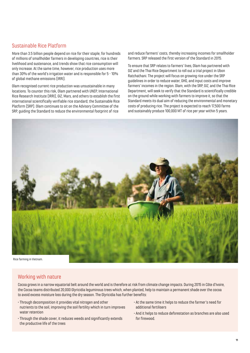### Sustainable Rice Platform

More than 3.5 billion people depend on rice for their staple; for hundreds of millions of smallholder farmers in developing countries, rice is their livelihood and sustenance, and trends show that rice consumption will only increase. At the same time, however, rice production uses more than 30% of the world's irrigation water and is responsible for 5 - 10% of global methane emissions (IRRI).

Olam recognised current rice production was unsustainable in many locations. To counter this risk, Olam partnered with UNEP, International Rice Research Institute (IRRI), GIZ, Mars, and others to establish the first international scientifically verifiable rice standard; the Sustainable Rice Platform (SRP). Olam continues to sit on the Advisory Committee of the SRP, guiding the Standard to reduce the environmental footprint of rice

and reduce farmers' costs, thereby increasing incomes for smallholder farmers. SRP released the first version of the Standard in 2015.

To ensure that SRP relates to farmers' lives, Olam has partnered with GIZ and the Thai Rice Department to roll out a trial project in Ubon Ratchathani. The project will focus on growing rice under the SRP guidelines in order to reduce water, GHG, and input costs and improve farmers' incomes in the region. Olam, with the SRP, GIZ, and the Thai Rice Department, will seek to verify that the Standard is scientifically credible on the ground while working with farmers to improve it, so that the Standard meets its dual aim of reducing the environmental and monetary costs of producing rice. The project is expected to reach 17,500 farms and sustainably produce 100,000 MT of rice per year within 5 years.



### Working with nature

Cocoa grows in a narrow equatorial belt around the world and is therefore at risk from climate change impacts. During 2015 in Côte d'Ivoire, the Cocoa teams distributed 20,000 Glyricidia leguminous trees which, when planted, help to maintain a permanent shade over the cocoa to avoid excess moisture loss during the dry season. The Glyricidia has further benefits:

- Through decomposition it provides vital nitrogen and other nutrients to the soil, improving the soil fertility which in turn improves water retention
- Through the shade cover, it reduces weeds and significantly extends the productive life of the trees
- At the same time it helps to reduce the farmer's need for additional fertilisers
- And it helps to reduce deforestation as branches are also used for firewood.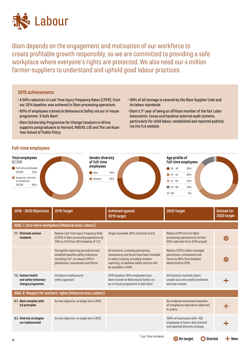

Olam depends on the engagement and motivation of our workforce to create profitable growth responsibly, so we are committed to providing a safe workplace where everyone's rights are protected. We also need our 4 million farmer-suppliers to understand and uphold good labour practices.

#### **2015 achievements**

- A 50% reduction in Lost Time Injury Frequency Rates (LTIFR), from our 2014 baseline, was achieved in Olam processing operations
- 80% of employees trained on Behavioural Safety via our in-house programme: 'A Safe Olam'
- Olam Scholarship Programme for Change Catalysts in Africa supports postgraduates at Harvard, INSEAD, LSE and The Lee Kuan Yew School of Public Policy
- 30% of all tonnage is covered by the Olam Supplier Code and its labour standards
- Olam's 3rd year of being an affiliate member of the Fair Labor Association. Cocoa and hazelnut external audit systems, particularly for child labour, established and reported publicly via the FLA website

#### **Full-time employees**



| 2016 - 2020 Objectives                                          | 2015 Target                                                                                                                                                | <b>Achieved against</b><br>2015 target                                                                                                                                                             | 2020 Target                                                                                                       | <b>Outlook for</b><br>2020 target |  |  |  |
|-----------------------------------------------------------------|------------------------------------------------------------------------------------------------------------------------------------------------------------|----------------------------------------------------------------------------------------------------------------------------------------------------------------------------------------------------|-------------------------------------------------------------------------------------------------------------------|-----------------------------------|--|--|--|
| GOAL 7. Zero-harm workplace (Material area: Labour)             |                                                                                                                                                            |                                                                                                                                                                                                    |                                                                                                                   |                                   |  |  |  |
| 7.1. Eliminate serious<br>incidents                             | Reduce Lost Time Injury Frequency Rate<br>(LTIFR) in Olam processing operations by<br>25% to 0.9 (from 2014 baseline of 1.2).                              | Target exceeded: 50% reduction to 0.6.                                                                                                                                                             | Reduce LTIFR to 0.3 in Olam<br>processing operations (a further<br>50% reduction from 2015 actual).               |                                   |  |  |  |
|                                                                 | Strengthen reporting procedures and<br>establish baseline safety indicators,<br>including LTIs*, to reduce LTIFR in<br>plantations, concessions and farms. | All locations, including plantations,<br>concessions and farms have been included<br>in safety training, including incident<br>reporting, so baseline safety metrics will<br>be available in 2016. | Reduce LTIFR in Olam-managed<br>plantations, concessions and<br>farms by 50% from baseline<br>determined in 2016. |                                   |  |  |  |
| 7.2. Sustain health<br>and safety behaviour<br>change programme | Introduce a behavioural<br>safety approach.                                                                                                                | 2015 baseline: 80% employees have<br>been trained on Behavioural Safety via<br>an in-house programme 'A Safe Olam'.                                                                                | All locations routinely report<br>unsafe acts and unsafe conditions,<br>and near misses.                          |                                   |  |  |  |
|                                                                 | GOAL 8. Respect for workers' rights (Material area: Labour)                                                                                                |                                                                                                                                                                                                    |                                                                                                                   |                                   |  |  |  |
| 8.1. Olam complies with<br>ILO principles                       | As new objective, no target set in 2015.                                                                                                                   |                                                                                                                                                                                                    | No moderate and severe breaches<br>of compliance reported or observed<br>in audits.                               |                                   |  |  |  |
| 8.2. Diversity strategies<br>are implemented                    | As new objective, no target set in 2015.                                                                                                                   |                                                                                                                                                                                                    | 100% of businesses with >100<br>employees to have a documented<br>and reported diversity strategy.                |                                   |  |  |  |
|                                                                 |                                                                                                                                                            |                                                                                                                                                                                                    |                                                                                                                   |                                   |  |  |  |

**On target Started New**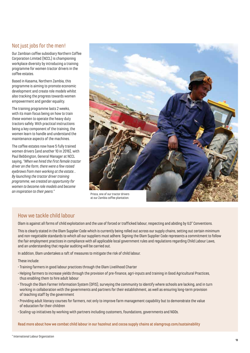### Not just jobs for the men!

Our Zambian coffee subsidiary Northern Coffee Corporation Limited (NCCL) is championing workplace diversity by introducing a training programme for women tractor drivers in the coffee estates.

Based in Kasama, Northern Zambia, this programme is aiming to promote economic development and create role models whilst also tracking the progress towards women empowerment and gender equality.

The training programme lasts 2 weeks, with its main focus being on how to train these women to operate the heavy duty tractors safely. With practical instructions being a key component of the training, the women learn to handle and understand the maintenance aspects of the machines.

The coffee estates now have 5 fully trained women drivers (and another 10 in 2016), with Paul Bebbington, General Manager at NCCL saying, *"When we hired the first female tractor driver on the farm, there were a few raised eyebrows from men working at the estate… By launching the tractor driver training programme, we created an opportunity for women to become role models and become an inspiration to their peers."*



at our Zambia coffee plantation.

# How we tackle child labour

Olam is against all forms of child exploitation and the use of forced or trafficked labour, respecting and abiding by ILO\* Conventions.

This is clearly stated in the Olam Supplier Code which is currently being rolled out across our supply chains, setting out certain minimum and non-negotiable standards to which all our suppliers must adhere. Signing the Olam Supplier Code represents a commitment to follow the fair employment practices in compliance with all applicable local government rules and regulations regarding Child Labour Laws, and an understanding that regular auditing will be carried out.

In addition, Olam undertakes a raft of measures to mitigate the risk of child labour.

These include:

- Training farmers in good labour practices through the Olam Livelihood Charter
- Helping farmers to increase yields through the provision of pre-finance, agri-inputs and training in Good Agricultural Practices, thus enabling them to hire adult labour
- Through the Olam Farmer Information System (OFIS), surveying the community to identify where schools are lacking, and in turn working in collaboration with the governments and partners for their establishment, as well as ensuring long-term provision of teaching staff by the government
- Providing adult literacy courses for farmers, not only to improve farm management capability but to demonstrate the value of education for their children
- Scaling-up initiatives by working with partners including customers, foundations, governments and NGOs.

Read more about how we combat child labour in our hazelnut and cocoa supply chains at olamgroup.com/sustainability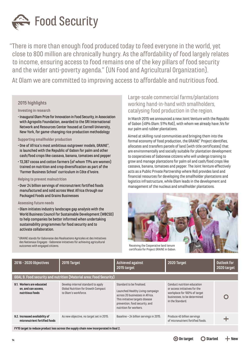

"There is more than enough food produced today to feed everyone in the world, yet close to 800 million are chronically hungry. As the affordability of food largely relates to income, ensuring access to food remains one of the key pillars of food security and the wider anti-poverty agenda." (UN Food and Agricultural Organization).

At Olam we are committed to improving access to affordable and nutritious food.

#### **2015 highlights**

#### **Investing in research**

• Inaugural Olam Prize for Innovation in Food Security, in Association with Agropolis Foundation, awarded to the SRI International Network and Resources Center housed at Cornell University, New York, for game-changing rice production methodology

#### **Supporting smallholder production**

- One of Africa's most ambitious outgrower models, GRAINE\*, is launched with the Republic of Gabon for palm and other cash/food crops like cassava, banana, tomatoes and pepper
- •13,387 cocoa and cotton farmers (of whom 11% are women) trained on nutrition and crop diversification as part of the 'Farmer Business School' curriculum in Côte d'Ivoire.

#### **Helping to prevent malnutrition**

• Over 24 billion servings of micronutrient fortified foods manufactured and sold across West Africa through our Packaged Foods and Grains Businesses

#### **Assessing future needs**

- Olam initiates industry landscape gap analysis with the World Business Council for Sustainable Development (WBCSD) to help companies be better informed when undertaking sustainability programmes for food security and to activate collaboration.
- \* GRAINE stands for Gabonaise des Realisations Agricoles et des Initiatives des Nationaux Engages - Gabonese initiatives for achieving agricultural outcomes with engaged citizens.

## Large-scale commercial farms/plantations working hand-in-hand with smallholders, catalysing food production in the region.

In March 2015 we announced a new Joint Venture with the Republic of Gabon (49% Olam: 51% RoG), with whom we already have JVs for our palm and rubber plantations.

Aimed at skilling rural communities and bringing them into the formal economy of food production, the GRAINE\* Project identifies, allocates and transfers parcels of land (with title certificates) that are environmentally and socially suitable for plantation development to cooperatives of Gabonese citizens who will undergo training to grow and manage plantations for palm oil and cash/food crops like cassava, banana, tomatoes and pepper. The Joint Venture effectively acts as a Public Private Partnership where RoG provides land and financial resources for developing the smallholder plantations and logistics infrastructure, while Olam leads in the development and management of the nucleus and smallholder plantations.



Receiving the Cooperative land tenure certificate for Project GRAINE in Gabon.

| 2016 - 2020 Objectives                                               | 2015 Target                                                                                       | Achieved against<br>2015 target                                                                                                                                                                 | 2020 Target                                                                                                                                      | <b>Outlook for</b><br>2020 target |
|----------------------------------------------------------------------|---------------------------------------------------------------------------------------------------|-------------------------------------------------------------------------------------------------------------------------------------------------------------------------------------------------|--------------------------------------------------------------------------------------------------------------------------------------------------|-----------------------------------|
|                                                                      | <b>GOAL 9. Food security and nutrition (Material area: Food Security)</b>                         |                                                                                                                                                                                                 |                                                                                                                                                  |                                   |
| 9.1. Workers are educated<br>on, and can access,<br>nutritious foods | Develop internal standard to apply<br>Global Nutrition for Growth Compact<br>to Olam's workforce. | Standard to be finalised.<br>Launched Healthy Living campaign<br>across 20 businesses in Africa.<br>This initiative targets disease<br>prevention, food security, and<br>nutrition for workers. | Conduct nutrition education<br>or access initiatives for the<br>workplace for 100% of target<br>businesses, to be determined<br>in the Standard. |                                   |
| 9.2. Increased availability of<br>micronutrient fortified foods      | As new objective, no target set in 2015.                                                          | Baseline = 24 billion servings in 2015.                                                                                                                                                         | Produce 40 billion servings<br>of micronutrient fortified foods.                                                                                 |                                   |
|                                                                      | FY15 target to reduce product loss across the supply chain now incorporated in Goal 2.            |                                                                                                                                                                                                 |                                                                                                                                                  |                                   |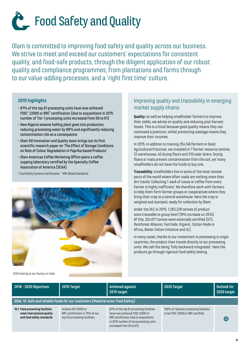

Olam is committed to improving food safety and quality across our business. We strive to meet and exceed our customers' expectations for consistent quality, and food-safe products, through the diligent application of our robust quality and compliance programmes, from plantations and farms through to our value-adding processes, and a 'right first time' culture.

#### **2015 highlights**

- 67% of the top 61 processing units have now achieved FSSC\* 22000 or BRC† certification (due to acquisitions in 2015 number of Tier 1 processing units increased from 50 to 61)
- New Nigeria sesame hulling plant goes into production, reducing processing water by 95% and significantly reducing contamination risk as a consequence
- Olam SVI Innovation and Quality team brings out its first scientific research paper on 'The Effect of Storage Conditions on Rate of Colour Degradation in Paprika based Products'
- Olam Americas Coffee Marketing Office opens a coffee cupping laboratory certified by the Specialty Coffee Association of America (SCAA)

\* Food Safety Systems Certification † BRC Global Standards



#### Chilli testing at our factory in India.

## Improving quality and traceability in emerging market supply chains

**Quality:** as well as helping smallholder farmers to improve their yields, we advise on quality and reducing post-harvest losses. This is critical because good quality means they can command a premium, whilst preventing wastage means they improve their incomes.

In 2015, in addition to training 254,146 farmers in Good Agricultural Practices, we invested in 7 farmer resource centres, 12 warehouses, 40 drying floors and 310 solar driers. Drying floors or mats prevent contamination from the soil, yet many smallholders do not have the funds to buy one.

**Traceability:** smallholders live in some of the most remote parts of the world where often roads are nothing more than dirt tracks. Collecting 1 sack of cocoa or coffee from every farmer is highly inefficient. We therefore work with farmers to help them form farmer groups or cooperatives where they bring their crop to a central warehouse. Here the crop is weighed and stamped, ready for collection by Olam.

Under the OLC in 2015, 1,263,228 tonnes of product were traceable to group level (16% increase on 2014). Of this, 324,671 tonnes were externally certified (UTZ, Rainforest Alliance, Fairtrade, Organic, Cotton Made in Africa, Better Cotton Initiative and 4C).

In many cases, thanks to our investment in processing in origin countries, the product then travels directly to our processing units. We call this being 'fully backward integrated'. Here the products go through rigorous food safety testing.

| 2016 - 2020 Objectives                                                                      | 2015 Target                                                                              | Achieved against<br>2015 target                                                                                                                                                             | 2020 Target                                                                  | <b>Outlook for</b><br>2020 target |
|---------------------------------------------------------------------------------------------|------------------------------------------------------------------------------------------|---------------------------------------------------------------------------------------------------------------------------------------------------------------------------------------------|------------------------------------------------------------------------------|-----------------------------------|
|                                                                                             | GOAL 10. Safe and reliable foods for our customers (Material area: Food Safety)          |                                                                                                                                                                                             |                                                                              |                                   |
| 10.1. Food processing facilities<br>meet international quality<br>and food safety standards | Achieve ISO 22000 or<br>BRC certification in 75% of our<br>top 50 processing facilities. | 67% of the top 61 processing facilities<br>have now achieved FSSC 22000 or<br>BRC certification (due to acquisitions<br>in 2015 number of top processing units<br>increased from 50 to 61). | 100% of relevant processing facilities<br>to be FSSC 22000 or BRC certified. | $\bullet$                         |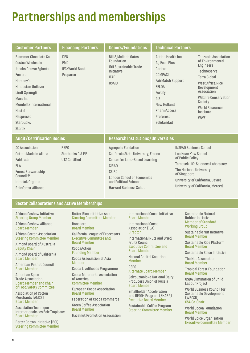# **Partnerships and memberships**

| <b>Customer Partners</b>                                                                                                                                                                                                     | <b>Financing Partners</b>                              | <b>Donors/Foundations</b>                                                                                                                                                                                             | <b>Technical Partners</b>                                                                                                                                                                                                              |  |                                                                                                                                                                                                                                                                           |
|------------------------------------------------------------------------------------------------------------------------------------------------------------------------------------------------------------------------------|--------------------------------------------------------|-----------------------------------------------------------------------------------------------------------------------------------------------------------------------------------------------------------------------|----------------------------------------------------------------------------------------------------------------------------------------------------------------------------------------------------------------------------------------|--|---------------------------------------------------------------------------------------------------------------------------------------------------------------------------------------------------------------------------------------------------------------------------|
| Blommer Chocolate Co.<br>Costco Wholesale<br>Jacobs Douwe Egberts<br>Ferrero<br>Hershey's<br>Hindustan Unilever<br>Lindt Sprungli<br>Mars Inc<br>Mondelëz International<br>Nestlé<br>Nespresso<br><b>Starbucks</b><br>Storck | <b>DFG</b><br>FM0<br><b>IFC/World Bank</b><br>Proparco | <b>Bill &amp; Melinda Gates</b><br>Foundation<br><b>IDH Sustainable Trade</b><br>Initiative<br><b>IFAD</b><br><b>USAID</b>                                                                                            | <b>Action Health Inc.</b><br>Ag Econ Plus<br>Caritas<br><b>COMPACI</b><br><b>FairMatch Support</b><br>FFI DA<br>Fortify<br>GIZ<br><b>New Holland</b><br>PharmAccess<br>Proforest<br>Solidaridad                                        |  | <b>Tanzania Association</b><br>of Environmental<br><b>Engineers</b><br><b>TechnoServe</b><br><b>Terra Global</b><br><b>West Africa Rice</b><br>Development<br>Association<br><b>Wildlife Conservation</b><br>Society<br><b>World Resources</b><br>Institute<br><b>WWF</b> |
| <b>Audit/Certification Bodies</b>                                                                                                                                                                                            |                                                        | <b>Research Institutions/Universities</b>                                                                                                                                                                             |                                                                                                                                                                                                                                        |  |                                                                                                                                                                                                                                                                           |
| <b>4C Association</b><br>Cotton Made in Africa<br>Fairtrade<br><b>FLA</b><br><b>Forest Stewardship</b><br>Council <sup>®</sup><br>Intertek Organic<br>Rainforest Alliance                                                    | <b>RSPO</b><br>Starbucks C.A.F.E.<br>UTZ Certified     | <b>Agropolis Fondation</b><br>California State University, Fresno<br>Center for Land-Based Learning<br>CIRAD<br><b>CSIRO</b><br><b>London School of Economics</b><br>and Political Science<br>Harvard Business School | <b>INSEAD Business School</b><br>Lee Kuan Yew School<br>of Public Policy<br><b>Temasek Life Sciences Laboratory</b><br>The National University<br>of Singapore<br>University of California, Davies<br>University of California, Merced |  |                                                                                                                                                                                                                                                                           |

#### **Sector Collaborations and Active Memberships**

African Cashew Initiative Steering Group Member

African Cashew Alliance Board Member

African Cotton Association Steering Committee Member

Almond Board of Australia Deputy Chair

Almond Board of California Board Member

American Peanut Council Board Member

American Spice Trade Association Board Member and Chair of Food Safety Committee

Association of Cotton Merchants (AMCE) Board Member

Association Technique Internationale des Boix Tropicaux Board Member

Better Cotton Initiative (BCI) Steering Committee Member

Better Rice Initiative Asia Steering Committee Member

**Bonsucro** Board Member

California League of Processors Executive Committee and Board Member

CocoaAction

**Founding Member** 

Cocoa Association of Asia Member

Cocoa Livelihoods Programme Cocoa Merchants Association

of America Committee Member

European Cocoa Association Board Member

Federation of Cocoa Commerce

Green Coffee Association Board Member

Hazelnut Promotion Association

#### International Cocoa Initiative Board Member

International Cocoa Association (ICA) **Director** 

International Nuts and Dried Fruits Council Executive Committee and Board Member

Natural Capital Coalition Member

RSPO Alternate Board Member

Solyouzmoloko National Dairy Producers Union of Russia Board Member

Smallholder Acceleration and REDD+ Program (SHARP) Executive Board Member

Sustainable Coffee Program Steering Committee Member

#### Sustainable Natural Rubber Initiative Member of Standard Working Group

Sustainable Nut Initiative Board Member

Sustainable Rice Platform Board Member

Sustainable Spice Initiative

The Nut Association Board Member

Tropical Forest Foundation Board Member

USDA Elimination of Child Labour Project

World Business Council for Sustainable Development (WBCSD) CSA Co-Chair

World Cocoa Foundation Board Member

World Spice Organisation Executive Committee Member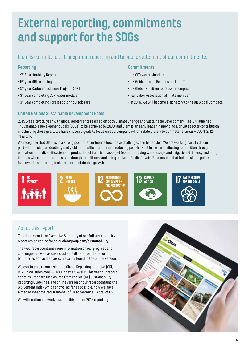# **External reporting, commitments and support for the SDGs**

# Olam is committed to transparent reporting and to public statement of our commitments:

#### **Reporting**

- 9<sup>th</sup> Sustainability Report
- $5<sup>th</sup>$  year GRI reporting
- 5th year Carbon Disclosure Project (CDP)
- 3rd year completing CDP water module
- 3rd year completing Forest Footprint Disclosure

#### **Commitments**

- UN CEO Water Mandate
- UN Guidelines on Responsible Land Tenure
- UN Global Nutrition for Growth Compact
- Fair Labor Association affiliate member
- In 2016, we will become a signatory to the UN Global Compact.

### **United Nations Sustainable Development Goals**

2015 was a pivotal year with global agreements reached on both Climate Change and Sustainable Development. The UN launched 17 Sustainable Development Goals (SDGs) to be achieved by 2030, and Olam is an early leader in providing a private sector contribution in achieving these goals. We have chosen 5 goals to focus on as a Company which relate closely to our material areas – SDG 1, 2, 12, 13 and 17.

We recognise that Olam is in a strong position to influence how these challenges can be tackled. We are working hard to do our part – increasing productivity and yield for smallholder farmers; reducing post-harvest losses; contributing to nutrition through education; crop diversification and production of fortified packaged foods; improving water usage and irrigation efficiency including in areas where our operations face drought conditions, and being active in Public Private Partnerships that help to shape policy frameworks supporting inclusive and sustainable growth.



# About this report

This document is an Executive Summary of our full sustainability report which can be found at olamgroup.com/sustainability

The web report contains more information on our progress and challenges, as well as case studies. Full detail on the reporting boundaries and audiences can also be found in the online version.

We continue to report using the Global Reporting Initiative (GRI). In 2014 we submitted GRI G3.1 Index at Level C. This year our report contains Standard Disclosures from the GRI (G4) Sustainability Reporting Guidelines. The online version of our report contains the GRI Content Index which shows, as far as possible, how we have aimed to meet the requirements of 'in accordance – core' of G4.

We will continue to work towards this for our 2016 reporting.